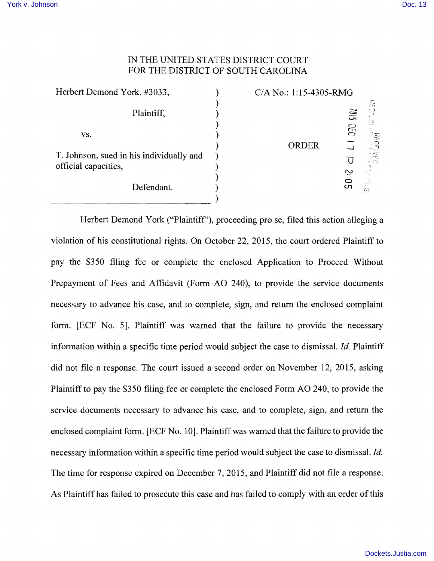## IN THE UNITED STATES DISTRlCT COURT FOR THE DISTRlCT OF SOUTH CAROLINA

| Herbert Demond York, #3033,                                      |  | C/A No.: 1:15-4305-RMG |            |             |
|------------------------------------------------------------------|--|------------------------|------------|-------------|
| Plaintiff,                                                       |  |                        | SIOZ       | 돌<br>-70    |
| VS.                                                              |  | ORDER                  | <b>GEC</b> | ់ដូ<br>ភូមិ |
| T. Johnson, sued in his individually and<br>official capacities, |  |                        |            | ۳۳7 (<br>C  |
| Defendant.                                                       |  |                        | $\sigma$   | 92          |

Herbert Demond York ("Plaintiff"), proceeding pro se, filed this action alleging a violation of his constitutional rights. On October 22, 2015, the court ordered Plaintiff to pay the \$350 filing fee or complete the enclosed Application to Proceed Without Prepayment of Fees and Affidavit (Form AO 240), to provide the service documents necessary to advance his case, and to complete, sign, and return the enclosed complaint form. [ECF No. 5]. Plaintiff was warned that the failure to provide the necessary information within a specific time period would subject the case to dismissal. *Id.* Plaintiff did not file a response. The court issued a second order on November 12, 2015, asking Plaintiff to pay the \$350 filing fee or complete the enclosed Form AO 240, to provide the service documents necessary to advance his case, and to complete, sign, and return the enclosed complaint form. [ECF No.1 0]. Plaintiff was warned that the failure to provide the necessary information within a specific time period would subject the case to dismissal. *Id.*  The time for response expired on December 7, 2015, and Plaintiff did not file a response. As Plaintiff has failed to prosecute this case and has failed to comply with an order of this